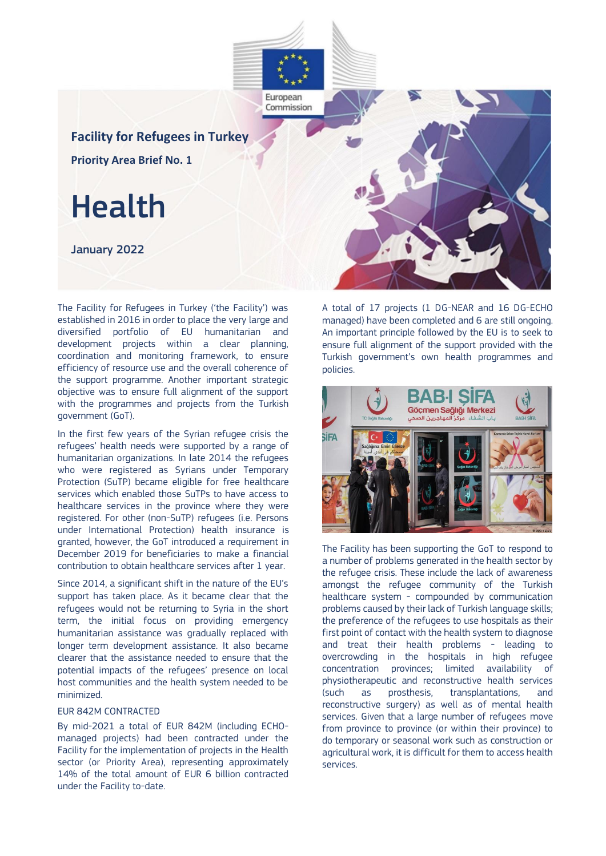

The Facility for Refugees in Turkey ('the Facility') was established in 2016 in order to place the very large and diversified portfolio of EU humanitarian and development projects within a clear planning, coordination and monitoring framework, to ensure efficiency of resource use and the overall coherence of the support programme. Another important strategic objective was to ensure full alignment of the support with the programmes and projects from the Turkish government (GoT).

In the first few years of the Syrian refugee crisis the refugees' health needs were supported by a range of humanitarian organizations. In late 2014 the refugees who were registered as Syrians under Temporary Protection (SuTP) became eligible for free healthcare services which enabled those SuTPs to have access to healthcare services in the province where they were registered. For other (non-SuTP) refugees (i.e. Persons under International Protection) health insurance is granted, however, the GoT introduced a requirement in December 2019 for beneficiaries to make a financial contribution to obtain healthcare services after 1 year.

Since 2014, a significant shift in the nature of the EU's support has taken place. As it became clear that the refugees would not be returning to Syria in the short term, the initial focus on providing emergency humanitarian assistance was gradually replaced with longer term development assistance. It also became clearer that the assistance needed to ensure that the potential impacts of the refugees' presence on local host communities and the health system needed to be minimized.

### EUR 842M CONTRACTED

By mid-2021 a total of EUR 842M (including ECHOmanaged projects) had been contracted under the Facility for the implementation of projects in the Health sector (or Priority Area), representing approximately 14% of the total amount of EUR 6 billion contracted under the Facility to-date.

A total of 17 projects (1 DG-NEAR and 16 DG-ECHO managed) have been completed and 6 are still ongoing. An important principle followed by the EU is to seek to ensure full alignment of the support provided with the Turkish government's own health programmes and policies.



The Facility has been supporting the GoT to respond to a number of problems generated in the health sector by the refugee crisis. These include the lack of awareness amongst the refugee community of the Turkish healthcare system - compounded by communication problems caused by their lack of Turkish language skills; the preference of the refugees to use hospitals as their first point of contact with the health system to diagnose and treat their health problems - leading to overcrowding in the hospitals in high refugee concentration provinces; limited availability of physiotherapeutic and reconstructive health services (such as prosthesis, transplantations, and reconstructive surgery) as well as of mental health services. Given that a large number of refugees move from province to province (or within their province) to do temporary or seasonal work such as construction or agricultural work, it is difficult for them to access health services.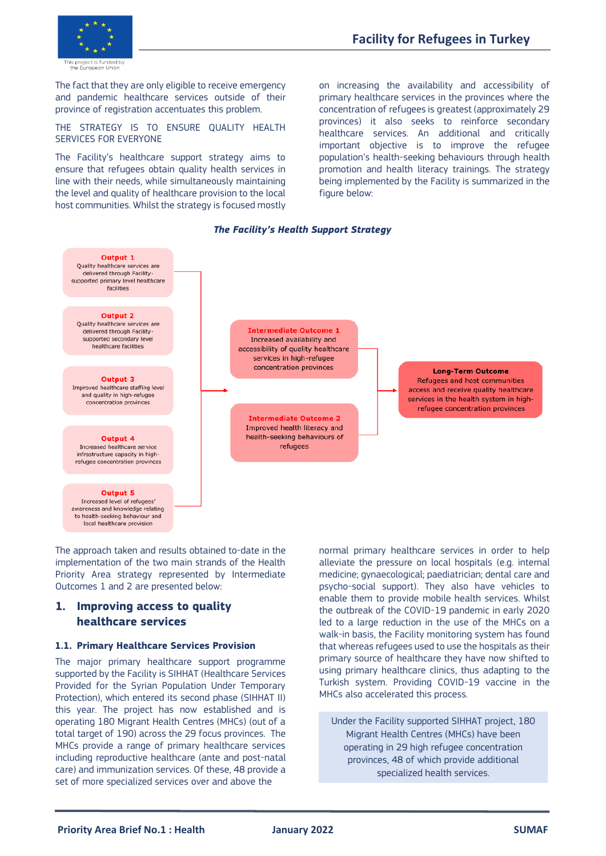

The fact that they are only eligible to receive emergency and pandemic healthcare services outside of their province of registration accentuates this problem.

THE STRATEGY IS TO ENSURE QUALITY HEALTH SERVICES FOR EVERYONE

The Facility's healthcare support strategy aims to ensure that refugees obtain quality health services in line with their needs, while simultaneously maintaining the level and quality of healthcare provision to the local host communities. Whilst the strategy is focused mostly

on increasing the availability and accessibility of primary healthcare services in the provinces where the concentration of refugees is greatest (approximately 29 provinces) it also seeks to reinforce secondary healthcare services. An additional and critically important objective is to improve the refugee population's health-seeking behaviours through health promotion and health literacy trainings. The strategy being implemented by the Facility is summarized in the figure below:



### *The Facility's Health Support Strategy*

The approach taken and results obtained to-date in the implementation of the two main strands of the Health Priority Area strategy represented by Intermediate Outcomes 1 and 2 are presented below:

## **1. Improving access to quality healthcare services**

### **1.1. Primary Healthcare Services Provision**

The major primary healthcare support programme supported by the Facility is SIHHAT (Healthcare Services Provided for the Syrian Population Under Temporary Protection), which entered its second phase (SIHHAT II) this year. The project has now established and is operating 180 Migrant Health Centres (MHCs) (out of a total target of 190) across the 29 focus provinces. The MHCs provide a range of primary healthcare services including reproductive healthcare (ante and post-natal care) and immunization services. Of these, 48 provide a set of more specialized services over and above the

normal primary healthcare services in order to help alleviate the pressure on local hospitals (e.g. internal medicine; gynaecological; paediatrician; dental care and psycho-social support). They also have vehicles to enable them to provide mobile health services. Whilst the outbreak of the COVID-19 pandemic in early 2020 led to a large reduction in the use of the MHCs on a walk-in basis, the Facility monitoring system has found that whereas refugees used to use the hospitals as their primary source of healthcare they have now shifted to using primary healthcare clinics, thus adapting to the Turkish system. Providing COVID-19 vaccine in the MHCs also accelerated this process.

Under the Facility supported SIHHAT project, 180 Migrant Health Centres (MHCs) have been operating in 29 high refugee concentration provinces, 48 of which provide additional specialized health services.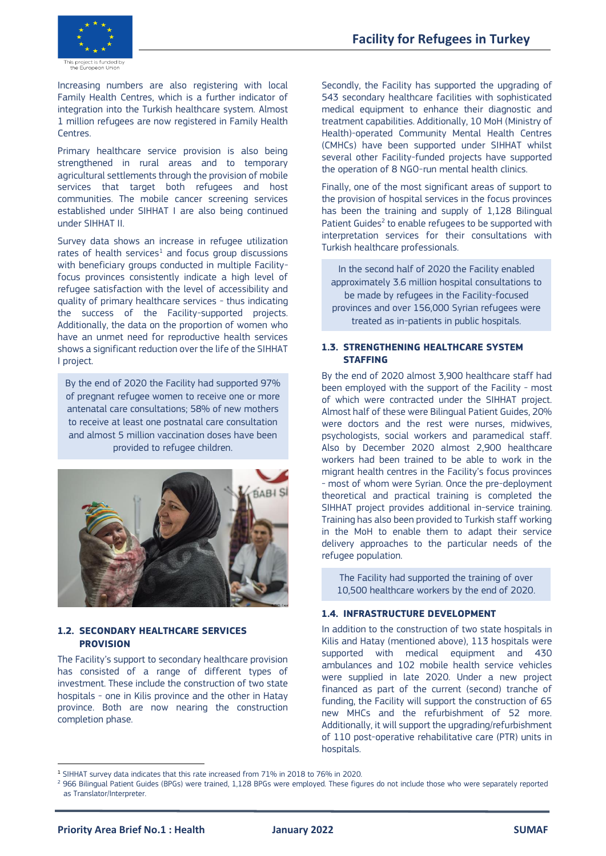



Increasing numbers are also registering with local Family Health Centres, which is a further indicator of integration into the Turkish healthcare system. Almost 1 million refugees are now registered in Family Health Centres.

Primary healthcare service provision is also being strengthened in rural areas and to temporary agricultural settlements through the provision of mobile services that target both refugees and host communities. The mobile cancer screening services established under SIHHAT I are also being continued under SIHHAT II.

Survey data shows an increase in refugee utilization rates of health services<sup>1</sup> and focus group discussions with beneficiary groups conducted in multiple Facilityfocus provinces consistently indicate a high level of refugee satisfaction with the level of accessibility and quality of primary healthcare services - thus indicating the success of the Facility-supported projects. Additionally, the data on the proportion of women who have an unmet need for reproductive health services shows a significant reduction over the life of the SIHHAT I project.

By the end of 2020 the Facility had supported 97% of pregnant refugee women to receive one or more antenatal care consultations; 58% of new mothers to receive at least one postnatal care consultation and almost 5 million vaccination doses have been provided to refugee children.



## **1.2. SECONDARY HEALTHCARE SERVICES PROVISION**

The Facility's support to secondary healthcare provision has consisted of a range of different types of investment. These include the construction of two state hospitals - one in Kilis province and the other in Hatay province. Both are now nearing the construction completion phase.

Secondly, the Facility has supported the upgrading of 543 secondary healthcare facilities with sophisticated medical equipment to enhance their diagnostic and treatment capabilities. Additionally, 10 MoH (Ministry of Health)-operated Community Mental Health Centres (CMHCs) have been supported under SIHHAT whilst several other Facility-funded projects have supported the operation of 8 NGO-run mental health clinics.

Finally, one of the most significant areas of support to the provision of hospital services in the focus provinces has been the training and supply of 1,128 Bilingual Patient Guides<sup>2</sup> to enable refugees to be supported with interpretation services for their consultations with Turkish healthcare professionals.

In the second half of 2020 the Facility enabled approximately 3.6 million hospital consultations to be made by refugees in the Facility-focused provinces and over 156,000 Syrian refugees were treated as in-patients in public hospitals.

## **1.3. STRENGTHENING HEALTHCARE SYSTEM STAFFING**

By the end of 2020 almost 3,900 healthcare staff had been employed with the support of the Facility - most of which were contracted under the SIHHAT project. Almost half of these were Bilingual Patient Guides, 20% were doctors and the rest were nurses, midwives, psychologists, social workers and paramedical staff. Also by December 2020 almost 2,900 healthcare workers had been trained to be able to work in the migrant health centres in the Facility's focus provinces - most of whom were Syrian. Once the pre-deployment theoretical and practical training is completed the SIHHAT project provides additional in-service training. Training has also been provided to Turkish staff working in the MoH to enable them to adapt their service delivery approaches to the particular needs of the refugee population.

The Facility had supported the training of over 10,500 healthcare workers by the end of 2020.

## **1.4. INFRASTRUCTURE DEVELOPMENT**

In addition to the construction of two state hospitals in Kilis and Hatay (mentioned above), 113 hospitals were supported with medical equipment and 430 ambulances and 102 mobile health service vehicles were supplied in late 2020. Under a new project financed as part of the current (second) tranche of funding, the Facility will support the construction of 65 new MHCs and the refurbishment of 52 more. Additionally, it will support the upgrading/refurbishment of 110 post-operative rehabilitative care (PTR) units in hospitals

<sup>1</sup> SIHHAT survey data indicates that this rate increased from 71% in 2018 to 76% in 2020.

<sup>&</sup>lt;sup>2</sup> 966 Bilingual Patient Guides (BPGs) were trained, 1,128 BPGs were employed. These figures do not include those who were separately reported as Translator/Interpreter.